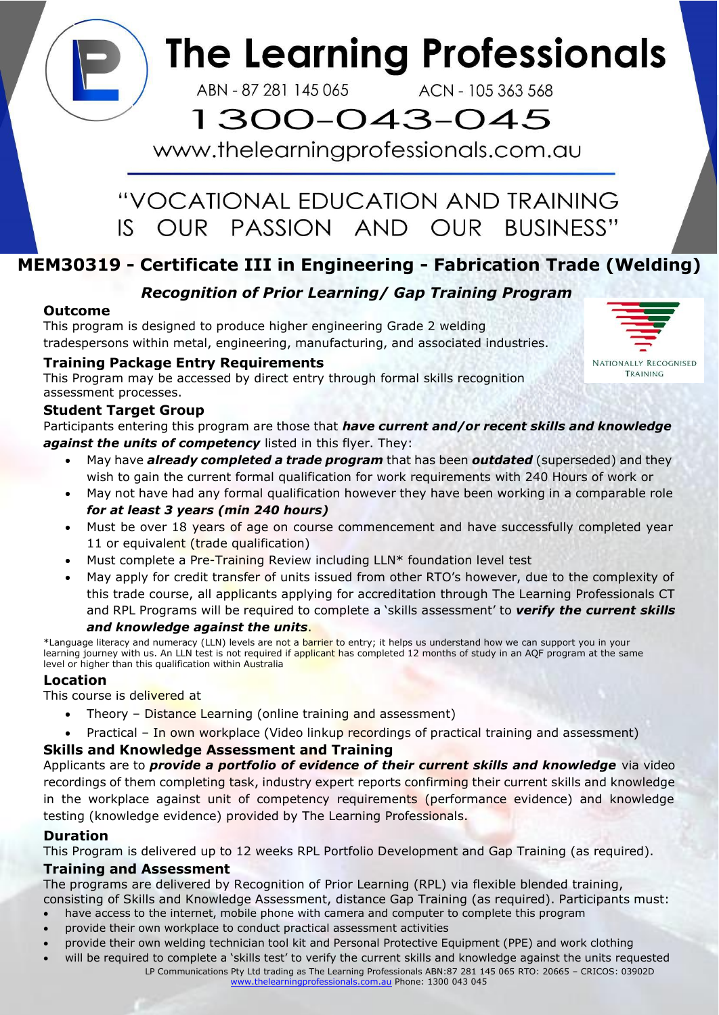# **The Learning Professionals**

ABN - 87 281 145 065

ACN - 105 363 568

## 1300-043-045

www.thelearningprofessionals.com.au

### "VOCATIONAL EDUCATION AND TRAINING IS OUR PASSION AND OUR BUSINESS"

### **MEM30319 - Certificate III in Engineering - Fabrication Trade (Welding)**

### *Recognition of Prior Learning/ Gap Training Program*

#### **Outcome**

This program is designed to produce higher engineering Grade 2 welding tradespersons within metal, engineering, manufacturing, and associated industries.

#### **Training Package Entry Requirements**

This Program may be accessed by direct entry through formal skills recognition assessment processes.

#### **Student Target Group**

Participants entering this program are those that *have current and/or recent skills and knowledge against the units of competency* listed in this flyer. They:

- May have *already completed a trade program* that has been *outdated* (superseded) and they wish to gain the current formal qualification for work requirements with 240 Hours of work or
- May not have had any formal qualification however they have been working in a comparable role *for at least 3 years (min 240 hours)*
- Must be over 18 years of age on course commencement and have successfully completed year 11 or equivalent (trade qualification)
- Must complete a Pre-Training Review including LLN\* foundation level test
- May apply for credit transfer of units issued from other RTO's however, due to the complexity of this trade course, all applicants applying for accreditation through The Learning Professionals CT and RPL Programs will be required to complete a 'skills assessment' to *verify the current skills*

#### *and knowledge against the units*.

\*Language literacy and numeracy (LLN) levels are not a barrier to entry; it helps us understand how we can support you in your learning journey with us. An LLN test is not required if applicant has completed 12 months of study in an AQF program at the same level or higher than this qualification within Australia

#### **Location**

This course is delivered at

- Theory Distance Learning (online training and assessment)
- Practical In own workplace (Video linkup recordings of practical training and assessment)

#### **Skills and Knowledge Assessment and Training**

Applicants are to *provide a portfolio of evidence of their current skills and knowledge* via video recordings of them completing task, industry expert reports confirming their current skills and knowledge in the workplace against unit of competency requirements (performance evidence) and knowledge testing (knowledge evidence) provided by The Learning Professionals.

#### **Duration**

This Program is delivered up to 12 weeks RPL Portfolio Development and Gap Training (as required).

#### **Training and Assessment**

The programs are delivered by Recognition of Prior Learning (RPL) via flexible blended training,

consisting of Skills and Knowledge Assessment, distance Gap Training (as required). Participants must:

- have access to the internet, mobile phone with camera and computer to complete this program
- provide their own workplace to conduct practical assessment activities
- provide their own welding technician tool kit and Personal Protective Equipment (PPE) and work clothing
- will be required to complete a 'skills test' to verify the current skills and knowledge against the units requested LP Communications Pty Ltd trading as The Learning Professionals ABN:87 281 145 065 RTO: 20665 – CRICOS: 03902D [www.thelearningprofessionals.com.au](http://www.thelearningprofessionals.com.au/) Phone: 1300 043 045